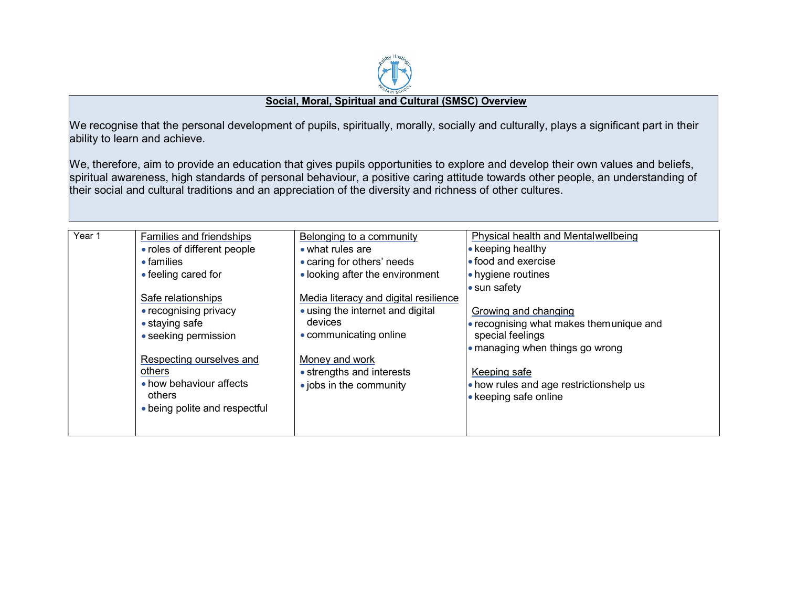

## Social, Moral, Spiritual and Cultural (SMSC) Overview

We recognise that the personal development of pupils, spiritually, morally, socially and culturally, plays a significant part in their ability to learn and achieve.

We, therefore, aim to provide an education that gives pupils opportunities to explore and develop their own values and beliefs, spiritual awareness, high standards of personal behaviour, a positive caring attitude towards other people, an understanding of their social and cultural traditions and an appreciation of the diversity and richness of other cultures.

| Year 1 | Families and friendships      | Belonging to a community              | Physical health and Mentalwellbeing     |
|--------|-------------------------------|---------------------------------------|-----------------------------------------|
|        | • roles of different people   | $\bullet$ what rules are              | • keeping healthy                       |
|        | $\bullet$ families            | • caring for others' needs            | • food and exercise                     |
|        | • feeling cared for           | • looking after the environment       | • hygiene routines                      |
|        |                               |                                       | • sun safety                            |
|        | Safe relationships            | Media literacy and digital resilience |                                         |
|        | • recognising privacy         | • using the internet and digital      | Growing and changing                    |
|        | $\bullet$ staying safe        | devices                               | • recognising what makes themunique and |
|        | • seeking permission          | • communicating online                | special feelings                        |
|        |                               |                                       | • managing when things go wrong         |
|        | Respecting ourselves and      | Money and work                        |                                         |
|        | others                        | • strengths and interests             | Keeping safe                            |
|        | • how behaviour affects       | • jobs in the community               | • how rules and age restrictionshelp us |
|        | others                        |                                       | • keeping safe online                   |
|        | • being polite and respectful |                                       |                                         |
|        |                               |                                       |                                         |
|        |                               |                                       |                                         |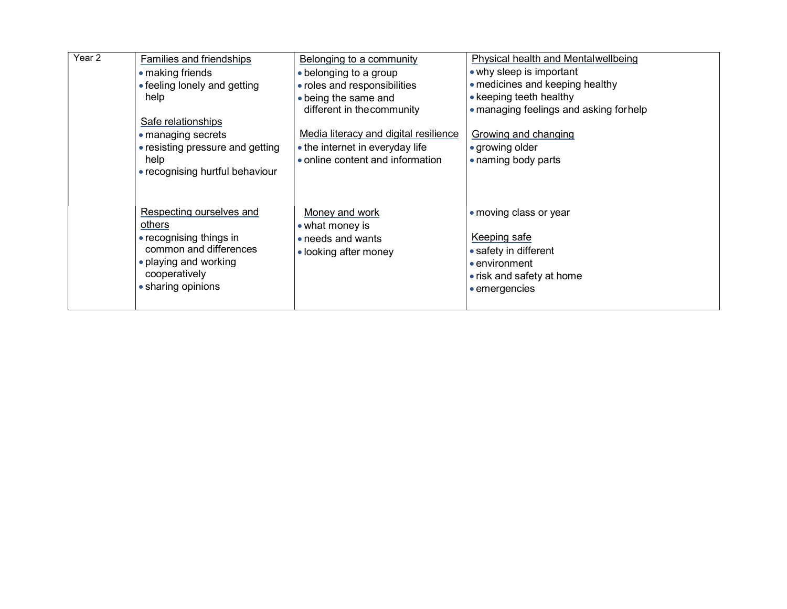| Year 2 | Families and friendships           | Belonging to a community                           | Physical health and Mentalwellbeing                               |
|--------|------------------------------------|----------------------------------------------------|-------------------------------------------------------------------|
|        | • making friends                   | • belonging to a group                             | • why sleep is important                                          |
|        | • feeling lonely and getting       | • roles and responsibilities                       | • medicines and keeping healthy                                   |
|        | help                               | • being the same and<br>different in the community | • keeping teeth healthy<br>• managing feelings and asking forhelp |
|        | Safe relationships                 |                                                    |                                                                   |
|        | • managing secrets                 | Media literacy and digital resilience              | Growing and changing                                              |
|        | • resisting pressure and getting   | • the internet in everyday life                    | • growing older                                                   |
|        | help                               | • online content and information                   | • naming body parts                                               |
|        | • recognising hurtful behaviour    |                                                    |                                                                   |
|        |                                    |                                                    |                                                                   |
|        | Respecting ourselves and<br>others | Money and work<br>$\bullet$ what money is          | • moving class or year                                            |
|        | • recognising things in            | • needs and wants                                  | Keeping safe                                                      |
|        | common and differences             | • looking after money                              | • safety in different                                             |
|        | • playing and working              |                                                    | • environment                                                     |
|        | cooperatively                      |                                                    | • risk and safety at home                                         |
|        | • sharing opinions                 |                                                    | • emergencies                                                     |
|        |                                    |                                                    |                                                                   |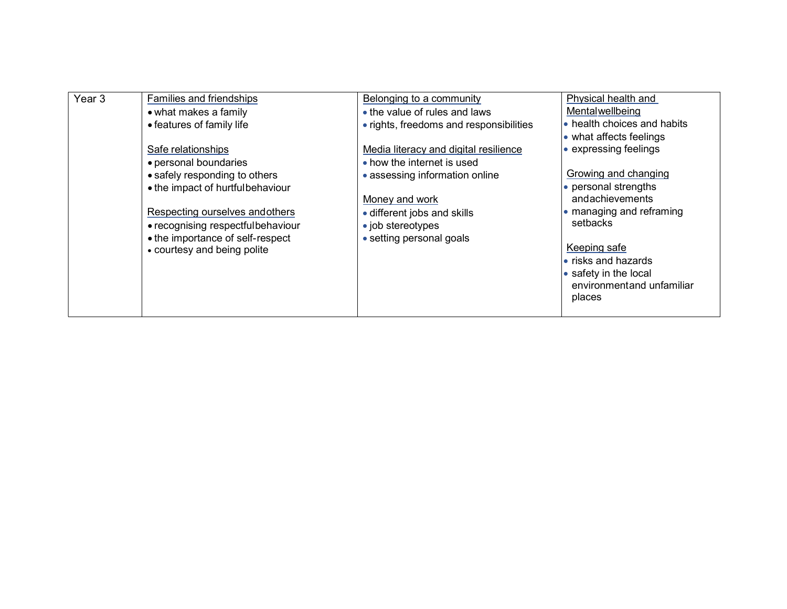| Year <sub>3</sub> | Families and friendships                                        | Belonging to a community                | Physical health and                                                                                         |
|-------------------|-----------------------------------------------------------------|-----------------------------------------|-------------------------------------------------------------------------------------------------------------|
|                   | • what makes a family                                           | • the value of rules and laws           | Mentalwellbeing                                                                                             |
|                   | • features of family life                                       | • rights, freedoms and responsibilities | • health choices and habits                                                                                 |
|                   |                                                                 |                                         | • what affects feelings                                                                                     |
|                   | Safe relationships                                              | Media literacy and digital resilience   | • expressing feelings                                                                                       |
|                   | • personal boundaries                                           | • how the internet is used              |                                                                                                             |
|                   | • safely responding to others                                   | • assessing information online          | Growing and changing                                                                                        |
|                   | • the impact of hurtfulbehaviour                                |                                         | • personal strengths                                                                                        |
|                   |                                                                 | Money and work                          | andachievements                                                                                             |
|                   | Respecting ourselves and others                                 | • different jobs and skills             | • managing and reframing                                                                                    |
|                   | • recognising respectfulbehaviour                               | • job stereotypes                       | setbacks                                                                                                    |
|                   | • the importance of self-respect<br>• courtesy and being polite | • setting personal goals                | Keeping safe<br>$\bullet$ risks and hazards<br>• safety in the local<br>environmentand unfamiliar<br>places |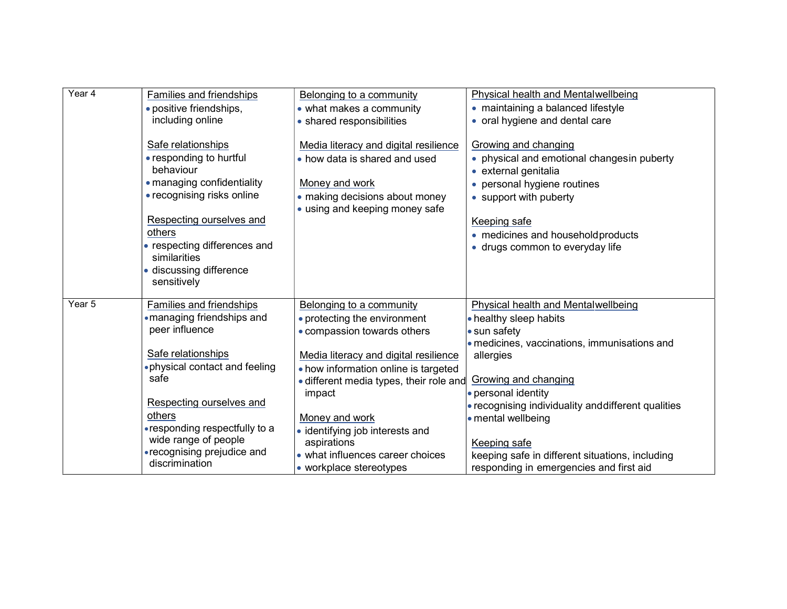| Year 4 | Families and friendships                      | Belonging to a community                | Physical health and Mentalwellbeing                                |
|--------|-----------------------------------------------|-----------------------------------------|--------------------------------------------------------------------|
|        | · positive friendships,                       | • what makes a community                | • maintaining a balanced lifestyle                                 |
|        | including online                              | • shared responsibilities               | • oral hygiene and dental care                                     |
|        | Safe relationships                            | Media literacy and digital resilience   | Growing and changing                                               |
|        | • responding to hurtful<br>behaviour          | • how data is shared and used           | • physical and emotional changesin puberty<br>• external genitalia |
|        | • managing confidentiality                    | Money and work                          |                                                                    |
|        | • recognising risks online                    | • making decisions about money          | • personal hygiene routines                                        |
|        |                                               | • using and keeping money safe          | • support with puberty                                             |
|        | Respecting ourselves and                      |                                         | Keeping safe                                                       |
|        | others                                        |                                         | • medicines and household products                                 |
|        | • respecting differences and<br>similarities  |                                         | • drugs common to everyday life                                    |
|        | · discussing difference<br>sensitively        |                                         |                                                                    |
|        |                                               |                                         |                                                                    |
| Year 5 | Families and friendships                      | Belonging to a community                | Physical health and Mentalwellbeing                                |
|        | • managing friendships and                    | • protecting the environment            | • healthy sleep habits                                             |
|        | peer influence                                | • compassion towards others             | • sun safety                                                       |
|        |                                               |                                         | • medicines, vaccinations, immunisations and                       |
|        | Safe relationships                            | Media literacy and digital resilience   | allergies                                                          |
|        | . physical contact and feeling                | • how information online is targeted    |                                                                    |
|        | safe                                          | • different media types, their role and | Growing and changing                                               |
|        |                                               | impact                                  | • personal identity                                                |
|        | Respecting ourselves and                      |                                         | • recognising individuality and different qualities                |
|        | others                                        | Money and work                          | • mental wellbeing                                                 |
|        | • responding respectfully to a                | · identifying job interests and         |                                                                    |
|        | wide range of people                          | aspirations                             | Keeping safe                                                       |
|        | • recognising prejudice and<br>discrimination | • what influences career choices        | keeping safe in different situations, including                    |
|        |                                               | • workplace stereotypes                 | responding in emergencies and first aid                            |